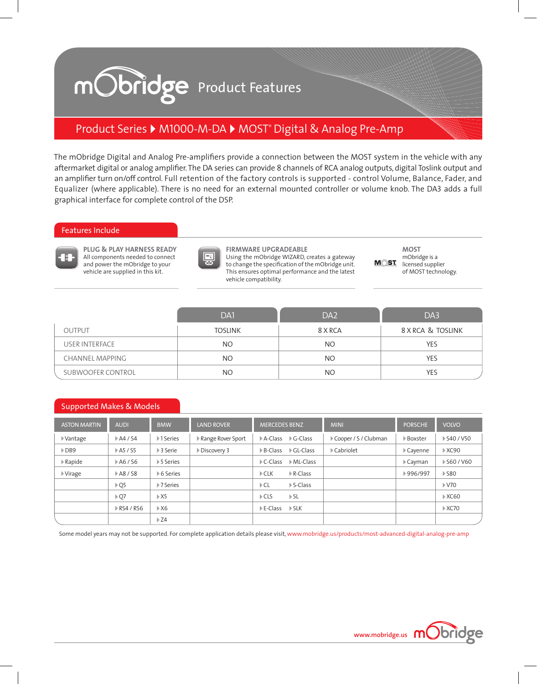## mObridge Product Features

## Product Series ▶ M1000-M-DA ▶ MOST® Digital & Analog Pre-Amp

The mObridge Digital and Analog Pre-amplifiers provide a connection between the MOST system in the vehicle with any aftermarket digital or analog amplifier. The DA series can provide 8 channels of RCA analog outputs, digital Toslink output and an amplifier turn on/off control. Full retention of the factory controls is supported - control Volume, Balance, Fader, and Equalizer (where applicable). There is no need for an external mounted controller or volume knob. The DA3 adds a full graphical interface for complete control of the DSP.

#### Features Include



**PLUG & PLAY HARNESS READY** All components needed to connect and power the mObridge to your vehicle are supplied in this kit.



**FIRMWARE UPGRADEABLE** Using the mObridge WIZARD, creates a gateway to change the specification of the mObridge unit. This ensures optimal performance and the latest vehicle compatibility.

**MOST** mObridge is a MOST licensed supplier of MOST technology.

|                   | DA1            | DA <sub>2</sub> | DA3               |
|-------------------|----------------|-----------------|-------------------|
| <b>OUTPUT</b>     | <b>TOSLINK</b> | 8 X RCA         | 8 X RCA & TOSLINK |
| USER INTERFACE    | NO.            | <b>NO</b>       | YES               |
| CHANNEL MAPPING   | NO.            | NO.             | <b>YES</b>        |
| SUBWOOFER CONTROL | NO             | NO.             | YES               |

#### Supported Makes & Models

| <b>ASTON MARTIN</b>     | <b>AUDI</b>                | <b>BMW</b>                | <b>LAND ROVER</b> | <b>MERCEDES BENZ</b>     |                           | <b>MINI</b>          | <b>PORSCHE</b>          | <b>VOLVO</b>          |
|-------------------------|----------------------------|---------------------------|-------------------|--------------------------|---------------------------|----------------------|-------------------------|-----------------------|
| ▶ Vantage               | $\triangleright$ A4 / S4   | ▶1 Series                 | Range Rover Sport | $\triangleright$ A-Class | $\triangleright$ G-Class  | Cooper / S / Clubman | Boxster                 | ▶ S40 / V50           |
| DB9                     | ▶ A5 / S5                  | ▶ 3 Serie                 | Discovery 3       | $\triangleright$ B-Class | $\triangleright$ GL-Class | ▶ Cabriolet          | Cayenne                 | $\triangleright$ XC90 |
| Rapide                  | ▶ A6 / S6                  | ▶ 5 Series                |                   | $\triangleright$ C-Class | $\triangleright$ ML-Class |                      | $\triangleright$ Cayman | ▶ S60 / V60           |
| $\triangleright$ Virage | A8 / S8                    | ▶ 6 Series                |                   | $\triangleright$ CLK     | $\triangleright$ R-Class  |                      | ▶996/997                | $\triangleright$ S80  |
|                         | $\triangleright$ Q5        | $\triangleright$ 7 Series |                   | $\triangleright$ CL      | $\triangleright$ S-Class  |                      |                         | $\triangleright$ V70  |
|                         | $\triangleright$ Q7        | $\triangleright$ X5       |                   | $\triangleright$ CLS     | $\triangleright$ SL       |                      |                         | $\triangleright$ XC60 |
|                         | $\triangleright$ RS4 / RS6 | $\triangleright$ X6       |                   | $\triangleright$ E-Class | $\triangleright$ SLK      |                      |                         | $\triangleright$ XC70 |
|                         |                            | $\triangleright$ Z4       |                   |                          |                           |                      |                         |                       |

Some model years may not be supported. For complete application details please visit, www.mobridge.us/products/most-advanced-digital-analog-pre-amp